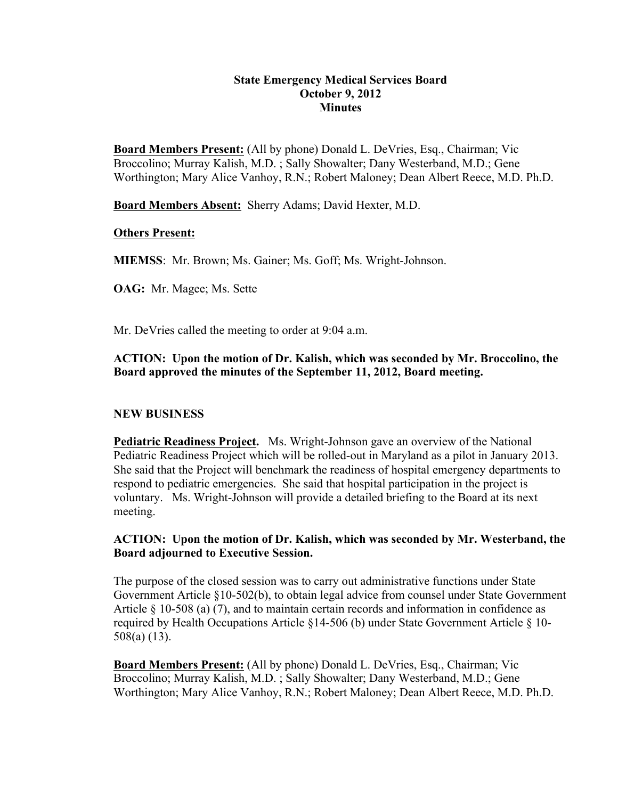#### **State Emergency Medical Services Board October 9, 2012 Minutes**

**Board Members Present:** (All by phone) Donald L. DeVries, Esq., Chairman; Vic Broccolino; Murray Kalish, M.D. ; Sally Showalter; Dany Westerband, M.D.; Gene Worthington; Mary Alice Vanhoy, R.N.; Robert Maloney; Dean Albert Reece, M.D. Ph.D.

**Board Members Absent:** Sherry Adams; David Hexter, M.D.

#### **Others Present:**

**MIEMSS**: Mr. Brown; Ms. Gainer; Ms. Goff; Ms. Wright-Johnson.

**OAG:** Mr. Magee; Ms. Sette

Mr. DeVries called the meeting to order at 9:04 a.m.

## **ACTION: Upon the motion of Dr. Kalish, which was seconded by Mr. Broccolino, the Board approved the minutes of the September 11, 2012, Board meeting.**

## **NEW BUSINESS**

**Pediatric Readiness Project.** Ms. Wright-Johnson gave an overview of the National Pediatric Readiness Project which will be rolled-out in Maryland as a pilot in January 2013. She said that the Project will benchmark the readiness of hospital emergency departments to respond to pediatric emergencies. She said that hospital participation in the project is voluntary. Ms. Wright-Johnson will provide a detailed briefing to the Board at its next meeting.

#### **ACTION: Upon the motion of Dr. Kalish, which was seconded by Mr. Westerband, the Board adjourned to Executive Session.**

The purpose of the closed session was to carry out administrative functions under State Government Article §10-502(b), to obtain legal advice from counsel under State Government Article § 10-508 (a) (7), and to maintain certain records and information in confidence as required by Health Occupations Article §14-506 (b) under State Government Article § 10- 508(a) (13).

**Board Members Present:** (All by phone) Donald L. DeVries, Esq., Chairman; Vic Broccolino; Murray Kalish, M.D. ; Sally Showalter; Dany Westerband, M.D.; Gene Worthington; Mary Alice Vanhoy, R.N.; Robert Maloney; Dean Albert Reece, M.D. Ph.D.